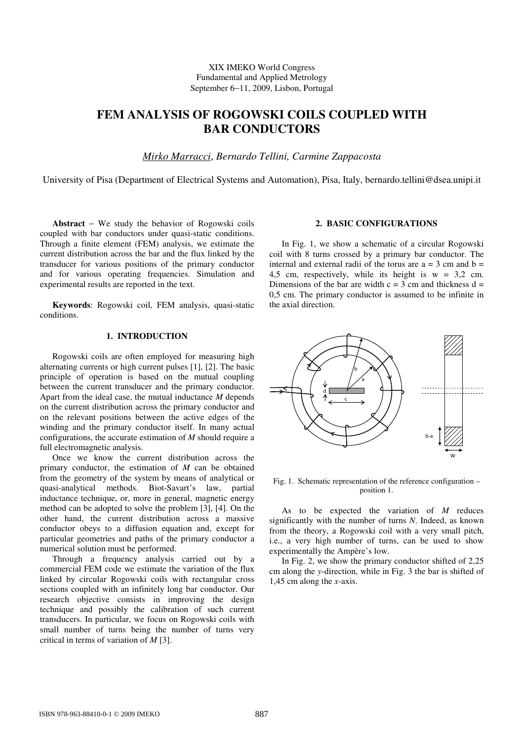## XIX IMEKO World Congress Fundamental and Applied Metrology September 6−11, 2009, Lisbon, Portugal

# **FEM ANALYSIS OF ROGOWSKI COILS COUPLED WITH BAR CONDUCTORS**

*Mirko Marracci*, *Bernardo Tellini, Carmine Zappacosta* 

University of Pisa (Department of Electrical Systems and Automation), Pisa, Italy, bernardo.tellini@dsea.unipi.it

**Abstract** − We study the behavior of Rogowski coils coupled with bar conductors under quasi-static conditions. Through a finite element (FEM) analysis, we estimate the current distribution across the bar and the flux linked by the transducer for various positions of the primary conductor and for various operating frequencies. Simulation and experimental results are reported in the text.

**Keywords**: Rogowski coil, FEM analysis, quasi-static conditions.

## **1. INTRODUCTION**

Rogowski coils are often employed for measuring high alternating currents or high current pulses [1], [2]. The basic principle of operation is based on the mutual coupling between the current transducer and the primary conductor. Apart from the ideal case, the mutual inductance *M* depends on the current distribution across the primary conductor and on the relevant positions between the active edges of the winding and the primary conductor itself. In many actual configurations, the accurate estimation of *M* should require a full electromagnetic analysis.

Once we know the current distribution across the primary conductor, the estimation of *M* can be obtained from the geometry of the system by means of analytical or quasi-analytical methods. Biot-Savart's law, partial inductance technique, or, more in general, magnetic energy method can be adopted to solve the problem [3], [4]. On the other hand, the current distribution across a massive conductor obeys to a diffusion equation and, except for particular geometries and paths of the primary conductor a numerical solution must be performed.

Through a frequency analysis carried out by a commercial FEM code we estimate the variation of the flux linked by circular Rogowski coils with rectangular cross sections coupled with an infinitely long bar conductor. Our research objective consists in improving the design technique and possibly the calibration of such current transducers. In particular, we focus on Rogowski coils with small number of turns being the number of turns very critical in terms of variation of *M* [3].

## **2. BASIC CONFIGURATIONS**

In Fig. 1, we show a schematic of a circular Rogowski coil with 8 turns crossed by a primary bar conductor. The internal and external radii of the torus are  $a = 3$  cm and  $b =$ 4,5 cm, respectively, while its height is  $w = 3.2$  cm. Dimensions of the bar are width  $c = 3$  cm and thickness  $d =$ 0,5 cm. The primary conductor is assumed to be infinite in the axial direction.



Fig. 1. Schematic representation of the reference configuration – position 1.

As to be expected the variation of *M* reduces significantly with the number of turns *N*. Indeed, as known from the theory, a Rogowski coil with a very small pitch, i.e., a very high number of turns, can be used to show experimentally the Ampère's low.

In Fig. 2, we show the primary conductor shifted of 2,25 cm along the *y*-direction, while in Fig. 3 the bar is shifted of 1,45 cm along the *x*-axis.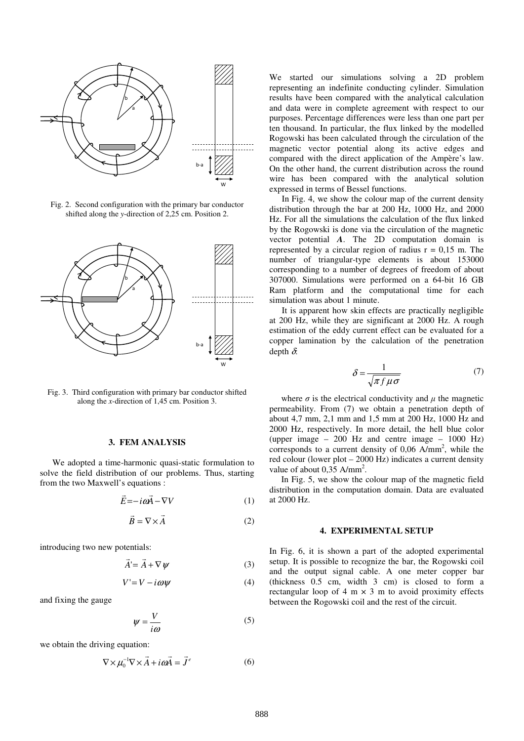

Fig. 2. Second configuration with the primary bar conductor shifted along the *y*-direction of 2,25 cm. Position 2.



Fig. 3. Third configuration with primary bar conductor shifted along the *x*-direction of 1,45 cm. Position 3.

#### **3. FEM ANALYSIS**

We adopted a time-harmonic quasi-static formulation to solve the field distribution of our problems. Thus, starting from the two Maxwell's equations :

$$
\vec{E} = -i\omega \vec{A} - \nabla V \tag{1}
$$

$$
\vec{B} = \nabla \times \vec{A}
$$
 (2)

introducing two new potentials:

$$
\vec{A} = \vec{A} + \nabla \psi \tag{3}
$$

$$
V' = V - i\omega\psi\tag{4}
$$

and fixing the gauge

$$
\psi = \frac{V}{i\omega} \tag{5}
$$

we obtain the driving equation:

$$
\nabla \times \mu_0^{-1} \nabla \times \vec{A} + i \omega \vec{A} = \vec{J}^e
$$
 (6)

We started our simulations solving a 2D problem representing an indefinite conducting cylinder. Simulation results have been compared with the analytical calculation and data were in complete agreement with respect to our purposes. Percentage differences were less than one part per ten thousand. In particular, the flux linked by the modelled Rogowski has been calculated through the circulation of the magnetic vector potential along its active edges and compared with the direct application of the Ampère's law. On the other hand, the current distribution across the round wire has been compared with the analytical solution expressed in terms of Bessel functions.

In Fig. 4, we show the colour map of the current density distribution through the bar at 200 Hz, 1000 Hz, and 2000 Hz. For all the simulations the calculation of the flux linked by the Rogowski is done via the circulation of the magnetic vector potential *A*. The 2D computation domain is represented by a circular region of radius  $r = 0.15$  m. The number of triangular-type elements is about 153000 corresponding to a number of degrees of freedom of about 307000. Simulations were performed on a 64-bit 16 GB Ram platform and the computational time for each simulation was about 1 minute.

It is apparent how skin effects are practically negligible at 200 Hz, while they are significant at 2000 Hz. A rough estimation of the eddy current effect can be evaluated for a copper lamination by the calculation of the penetration depth  $\delta$ :

$$
\delta = \frac{1}{\sqrt{\pi f \mu \sigma}}\tag{7}
$$

where  $\sigma$  is the electrical conductivity and  $\mu$  the magnetic permeability. From (7) we obtain a penetration depth of about 4,7 mm, 2,1 mm and 1,5 mm at 200 Hz, 1000 Hz and 2000 Hz, respectively. In more detail, the hell blue color (upper image  $-200$  Hz and centre image  $-1000$  Hz) corresponds to a current density of  $0,06$  A/mm<sup>2</sup>, while the red colour (lower plot – 2000 Hz) indicates a current density value of about 0,35 A/mm<sup>2</sup>.

In Fig. 5, we show the colour map of the magnetic field distribution in the computation domain. Data are evaluated at 2000 Hz.

#### **4. EXPERIMENTAL SETUP**

In Fig. 6, it is shown a part of the adopted experimental setup. It is possible to recognize the bar, the Rogowski coil and the output signal cable. A one meter copper bar (thickness 0.5 cm, width 3 cm) is closed to form a rectangular loop of 4 m  $\times$  3 m to avoid proximity effects between the Rogowski coil and the rest of the circuit.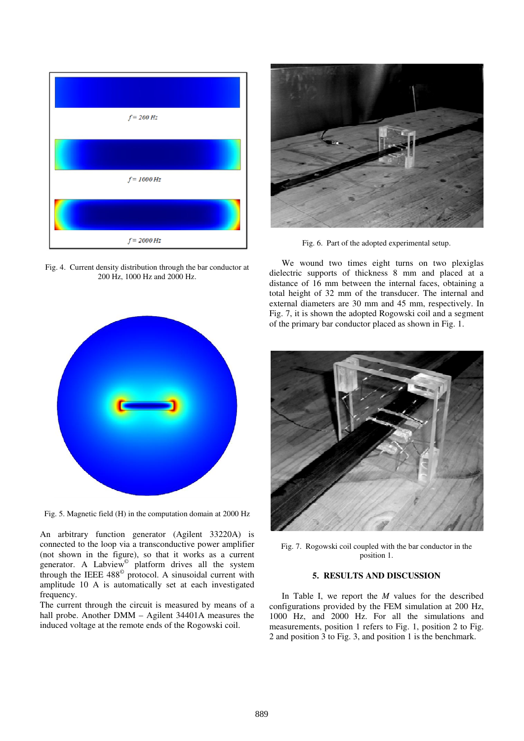

Fig. 4. Current density distribution through the bar conductor at 200 Hz, 1000 Hz and 2000 Hz.



Fig. 5. Magnetic field (H) in the computation domain at 2000 Hz

An arbitrary function generator (Agilent 33220A) is connected to the loop via a transconductive power amplifier (not shown in the figure), so that it works as a current generator. A Labview<sup>®</sup> platform drives all the system through the IEEE 488© protocol. A sinusoidal current with amplitude 10 A is automatically set at each investigated frequency.

The current through the circuit is measured by means of a hall probe. Another DMM – Agilent 34401A measures the induced voltage at the remote ends of the Rogowski coil.



Fig. 6. Part of the adopted experimental setup.

We wound two times eight turns on two plexiglas dielectric supports of thickness 8 mm and placed at a distance of 16 mm between the internal faces, obtaining a total height of 32 mm of the transducer. The internal and external diameters are 30 mm and 45 mm, respectively. In Fig. 7, it is shown the adopted Rogowski coil and a segment of the primary bar conductor placed as shown in Fig. 1.



Fig. 7. Rogowski coil coupled with the bar conductor in the position 1.

# **5. RESULTS AND DISCUSSION**

In Table I, we report the *M* values for the described configurations provided by the FEM simulation at 200 Hz, 1000 Hz, and 2000 Hz. For all the simulations and measurements, position 1 refers to Fig. 1, position 2 to Fig. 2 and position 3 to Fig. 3, and position 1 is the benchmark.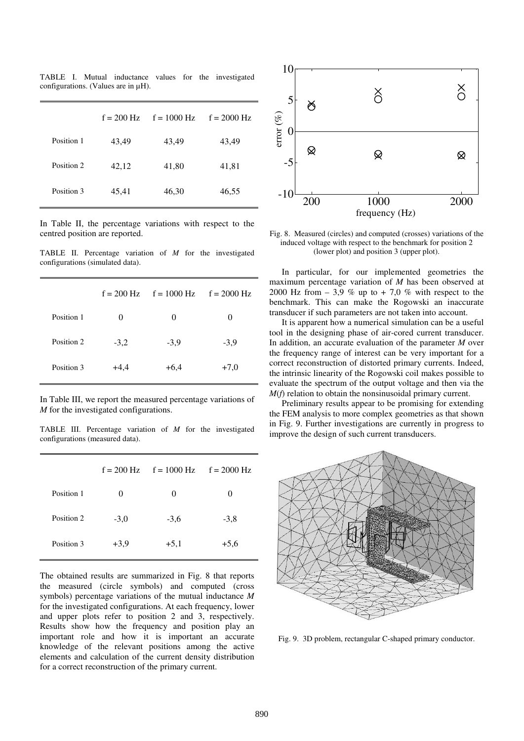|            | $f = 200$ Hz | $f = 1000 \text{ Hz}$ | $f = 2000$ Hz |
|------------|--------------|-----------------------|---------------|
| Position 1 | 43,49        | 43,49                 | 43,49         |
| Position 2 | 42,12        | 41,80                 | 41,81         |
| Position 3 | 45,41        | 46,30                 | 46,55         |

TABLE I. Mutual inductance values for the investigated configurations. (Values are in µH).

In Table II, the percentage variations with respect to the centred position are reported.

TABLE II. Percentage variation of *M* for the investigated configurations (simulated data).

|            |          | $f = 200$ Hz $f = 1000$ Hz $f = 2000$ Hz |          |
|------------|----------|------------------------------------------|----------|
| Position 1 | $\Omega$ | $\theta$                                 | $\Omega$ |
| Position 2 | $-3,2$   | $-3,9$                                   | $-3,9$   |
| Position 3 | $+4,4$   | $+6.4$                                   | $+7,0$   |

In Table III, we report the measured percentage variations of *M* for the investigated configurations.

TABLE III. Percentage variation of *M* for the investigated configurations (measured data).

|            |        | $f = 200$ Hz $f = 1000$ Hz $f = 2000$ Hz |          |
|------------|--------|------------------------------------------|----------|
| Position 1 | 0      | $\theta$                                 | $\theta$ |
| Position 2 | $-3,0$ | $-3,6$                                   | $-3,8$   |
| Position 3 | $+3,9$ | $+5,1$                                   | $+5,6$   |
|            |        |                                          |          |

The obtained results are summarized in Fig. 8 that reports the measured (circle symbols) and computed (cross symbols) percentage variations of the mutual inductance *M* for the investigated configurations. At each frequency, lower and upper plots refer to position 2 and 3, respectively. Results show how the frequency and position play an important role and how it is important an accurate knowledge of the relevant positions among the active elements and calculation of the current density distribution for a correct reconstruction of the primary current.



Fig. 8. Measured (circles) and computed (crosses) variations of the induced voltage with respect to the benchmark for position 2 (lower plot) and position 3 (upper plot).

In particular, for our implemented geometries the maximum percentage variation of *M* has been observed at 2000 Hz from  $-3.9\%$  up to  $+7.0\%$  with respect to the benchmark. This can make the Rogowski an inaccurate transducer if such parameters are not taken into account.

It is apparent how a numerical simulation can be a useful tool in the designing phase of air-cored current transducer. In addition, an accurate evaluation of the parameter *M* over the frequency range of interest can be very important for a correct reconstruction of distorted primary currents. Indeed, the intrinsic linearity of the Rogowski coil makes possible to evaluate the spectrum of the output voltage and then via the *M*(*f*) relation to obtain the nonsinusoidal primary current.

Preliminary results appear to be promising for extending the FEM analysis to more complex geometries as that shown in Fig. 9. Further investigations are currently in progress to improve the design of such current transducers.



Fig. 9. 3D problem, rectangular C-shaped primary conductor.